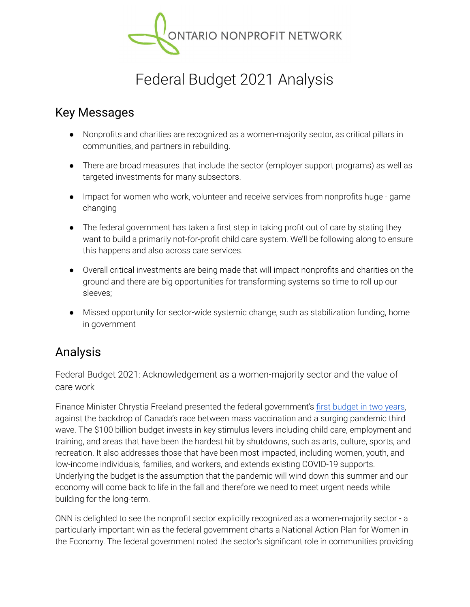

# Federal Budget 2021 Analysis

# Key Messages

- Nonprofits and charities are recognized as a women-majority sector, as critical pillars in communities, and partners in rebuilding.
- There are broad measures that include the sector (employer support programs) as well as targeted investments for many subsectors.
- Impact for women who work, volunteer and receive services from nonprofits huge game changing
- The federal government has taken a first step in taking profit out of care by stating they want to build a primarily not-for-profit child care system. We'll be following along to ensure this happens and also across care services.
- Overall critical investments are being made that will impact nonprofits and charities on the ground and there are big opportunities for transforming systems so time to roll up our sleeves;
- Missed opportunity for sector-wide systemic change, such as stabilization funding, home in government

# Analysis

Federal Budget 2021: Acknowledgement as a women-majority sector and the value of care work

Finance Minister Chrystia Freeland presented the federal government's first [budget](https://www.budget.gc.ca/2021/home-accueil-en.html) in two years, against the backdrop of Canada's race between mass vaccination and a surging pandemic third wave. The \$100 billion budget invests in key stimulus levers including child care, employment and training, and areas that have been the hardest hit by shutdowns, such as arts, culture, sports, and recreation. It also addresses those that have been most impacted, including women, youth, and low-income individuals, families, and workers, and extends existing COVID-19 supports. Underlying the budget is the assumption that the pandemic will wind down this summer and our economy will come back to life in the fall and therefore we need to meet urgent needs while building for the long-term.

ONN is delighted to see the nonprofit sector explicitly recognized as a women-majority sector - a particularly important win as the federal government charts a National Action Plan for Women in the Economy. The federal government noted the sector's significant role in communities providing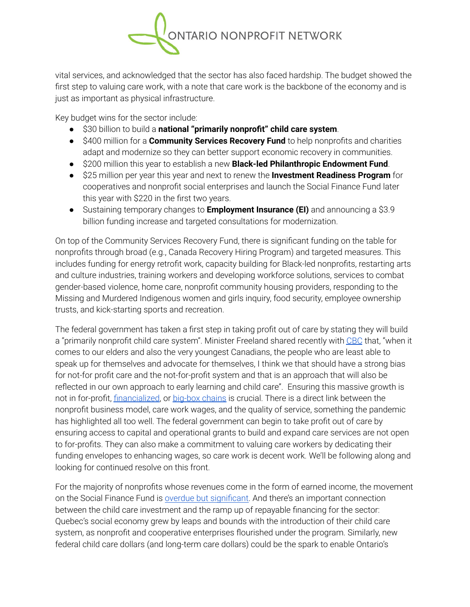

vital services, and acknowledged that the sector has also faced hardship. The budget showed the first step to valuing care work, with a note that care work is the backbone of the economy and is just as important as physical infrastructure.

Key budget wins for the sector include:

- \$30 billion to build a **national "primarily nonprofit" child care system**.
- \$400 million for a **Community Services Recovery Fund** to help nonprofits and charities adapt and modernize so they can better support economic recovery in communities.
- \$200 million this year to establish a new **Black-led Philanthropic Endowment Fund**.
- \$25 million per year this year and next to renew the **Investment Readiness Program** for cooperatives and nonprofit social enterprises and launch the Social Finance Fund later this year with \$220 in the first two years.
- Sustaining temporary changes to **Employment Insurance (EI)** and announcing a \$3.9 billion funding increase and targeted consultations for modernization.

On top of the Community Services Recovery Fund, there is significant funding on the table for nonprofits through broad (e.g., Canada Recovery Hiring Program) and targeted measures. This includes funding for energy retrofit work, capacity building for Black-led nonprofits, restarting arts and culture industries, training workers and developing workforce solutions, services to combat gender-based violence, home care, nonprofit community housing providers, responding to the Missing and Murdered Indigenous women and girls inquiry, food security, employee ownership trusts, and kick-starting sports and recreation.

The federal government has taken a first step in taking profit out of care by stating they will build a "primarily nonprofit child care system". Minister Freeland shared recently with [CBC](https://www.cbc.ca/listen/live-radio/1-63-the-current/clip/15838176-chrystia-freeland-federal-budget-fighting-covid-19s-third-wave) that, "when it comes to our elders and also the very youngest Canadians, the people who are least able to speak up for themselves and advocate for themselves, I think we that should have a strong bias for not-for profit care and the not-for-profit system and that is an approach that will also be reflected in our own approach to early learning and child care". Ensuring this massive growth is not in for-profit, [financialized](https://healthydebate.ca/opinions/dangers-financialized-long-term-care), or [big-box](https://www.theguardian.com/business/2013/nov/01/busy-bees-nursery-buyout-ontario-teachers-plan) chains is crucial. There is a direct link between the nonprofit business model, care work wages, and the quality of service, something the pandemic has highlighted all too well. The federal government can begin to take profit out of care by ensuring access to capital and operational grants to build and expand care services are not open to for-profits. They can also make a commitment to valuing care workers by dedicating their funding envelopes to enhancing wages, so care work is decent work. We'll be following along and looking for continued resolve on this front.

For the majority of nonprofits whose revenues come in the form of earned income, the movement on the Social Finance Fund is overdue but [significant.](https://sisfs.ca/) And there's an important connection between the child care investment and the ramp up of repayable financing for the sector: Quebec's social economy grew by leaps and bounds with the introduction of their child care system, as nonprofit and cooperative enterprises flourished under the program. Similarly, new federal child care dollars (and long-term care dollars) could be the spark to enable Ontario's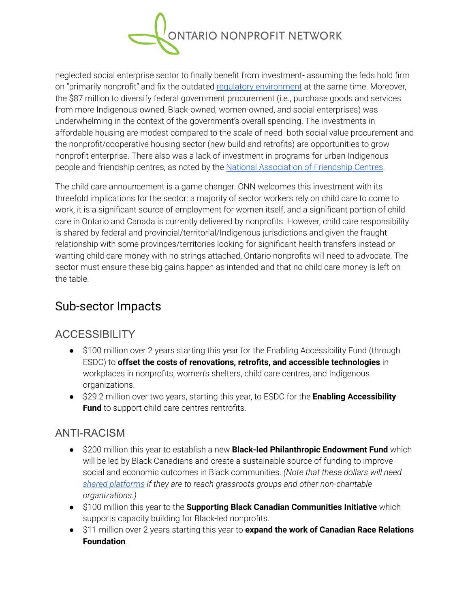

neglected social enterprise sector to finally benefit from investment- assuming the feds hold firm on "primarily nonprofit" and fix the outdated regulatory [environment](https://theonn.ca/our-work/our-regulatory-environment/public-benefit-nonprofits/income-tax-act/) at the same time. Moreover, the \$87 million to diversify federal government procurement (i.e., purchase goods and services from more Indigenous-owned, Black-owned, women-owned, and social enterprises) was underwhelming in the context of the government's overall spending. The investments in affordable housing are modest compared to the scale of need- both social value procurement and the nonprofit/cooperative housing sector (new build and retrofits) are opportunities to grow nonprofit enterprise. There also was a lack of investment in programs for urban Indigenous people and friendship centres, as noted by the National [Association](https://www.nafc.ca/en/news-media/press-release-2021-federal-budget-under-delivers-for-urban-indigenous-people) of Friendship Centres.

The child care announcement is a game changer. ONN welcomes this investment with its threefold implications for the sector: a majority of sector workers rely on child care to come to work, it is a significant source of employment for women itself, and a significant portion of child care in Ontario and Canada is currently delivered by nonprofits. However, child care responsibility is shared by federal and provincial/territorial/Indigenous jurisdictions and given the fraught relationship with some provinces/territories looking for significant health transfers instead or wanting child care money with no strings attached, Ontario nonprofits will need to advocate. The sector must ensure these big gains happen as intended and that no child care money is left on the table.

# Sub-sector Impacts

# ACCESSIBILITY

- \$100 million over 2 years starting this year for the Enabling Accessibility Fund (through ESDC) to **offset the costs of renovations, retrofits, and accessible technologies** in workplaces in nonprofits, women's shelters, child care centres, and Indigenous organizations.
- \$29.2 million over two years, starting this year, to ESDC for the **Enabling Accessibility Fund** to support child care centres rentrofits.

#### ANTI-RACISM

- \$200 million this year to establish a new **Black-led Philanthropic Endowment Fund** which will be led by Black Canadians and create a sustainable source of funding to improve social and economic outcomes in Black communities. *(Note that these dollars will need shared [platforms](https://theonn.ca/our-work/our-regulatory-environment/shared-platforms/) if they are to reach grassroots groups and other non-charitable organizations.)*
- \$100 million this year to the **Supporting Black Canadian Communities Initiative** which supports capacity building for Black-led nonprofits.
- \$11 million over 2 years starting this year to **expand the work of Canadian Race Relations Foundation**.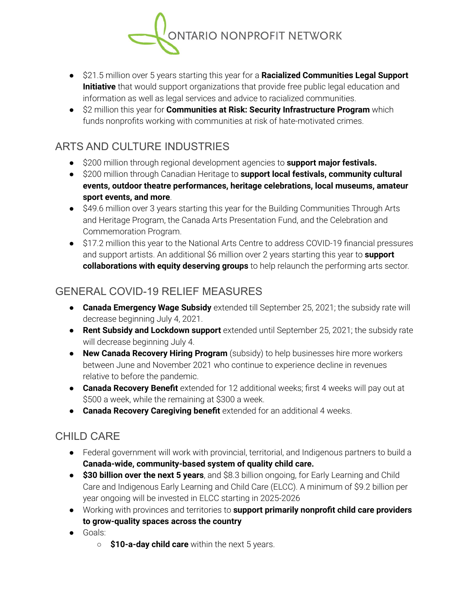

- \$21.5 million over 5 years starting this year for a **Racialized Communities Legal Support Initiative** that would support organizations that provide free public legal education and information as well as legal services and advice to racialized communities.
- \$2 million this year for **Communities at Risk: Security Infrastructure Program** which funds nonprofits working with communities at risk of hate-motivated crimes.

# ARTS AND CULTURE INDUSTRIES

- \$200 million through regional development agencies to **support major festivals.**
- \$200 million through Canadian Heritage to **support local festivals, community cultural events, outdoor theatre performances, heritage celebrations, local museums, amateur sport events, and more**.
- \$49.6 million over 3 years starting this year for the Building Communities Through Arts and Heritage Program, the Canada Arts Presentation Fund, and the Celebration and Commemoration Program.
- \$17.2 million this year to the National Arts Centre to address COVID-19 financial pressures and support artists. An additional \$6 million over 2 years starting this year to **support collaborations with equity deserving groups** to help relaunch the performing arts sector.

# GENERAL COVID-19 RELIEF MEASURES

- **Canada Emergency Wage Subsidy** extended till September 25, 2021; the subsidy rate will decrease beginning July 4, 2021.
- **Rent Subsidy and Lockdown support** extended until September 25, 2021; the subsidy rate will decrease beginning July 4.
- **New Canada Recovery Hiring Program** (subsidy) to help businesses hire more workers between June and November 2021 who continue to experience decline in revenues relative to before the pandemic.
- **Canada Recovery Benefit** extended for 12 additional weeks; first 4 weeks will pay out at \$500 a week, while the remaining at \$300 a week.
- **● Canada Recovery Caregiving benefit** extended for an additional 4 weeks.

# CHILD CARE

- Federal government will work with provincial, territorial, and Indigenous partners to build a **Canada-wide, community-based system of quality child care.**
- **\$30 billion over the next 5 years**, and \$8.3 billion ongoing, for Early Learning and Child Care and Indigenous Early Learning and Child Care (ELCC). A minimum of \$9.2 billion per year ongoing will be invested in ELCC starting in 2025-2026
- Working with provinces and territories to **support primarily nonprofit child care providers to grow-quality spaces across the country**
- Goals:
	- **\$10-a-day child care** within the next 5 years.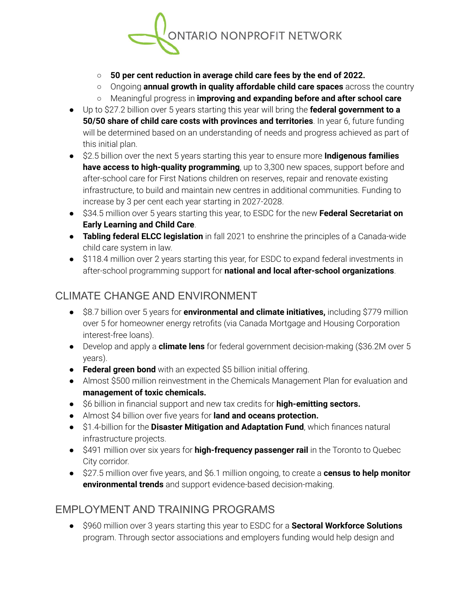

- **○ 50 per cent reduction in average child care fees by the end of 2022.**
- Ongoing **annual growth in quality affordable child care spaces** across the country
- Meaningful progress in **improving and expanding before and after school care**
- Up to \$27.2 billion over 5 years starting this year will bring the **federal government to a 50/50 share of child care costs with provinces and territories**. In year 6, future funding will be determined based on an understanding of needs and progress achieved as part of this initial plan.
- \$2.5 billion over the next 5 years starting this year to ensure more **Indigenous families have access to high-quality programming**, up to 3,300 new spaces, support before and after-school care for First Nations children on reserves, repair and renovate existing infrastructure, to build and maintain new centres in additional communities. Funding to increase by 3 per cent each year starting in 2027-2028.
- \$34.5 million over 5 years starting this year, to ESDC for the new **Federal Secretariat on Early Learning and Child Care**.
- **Tabling federal ELCC legislation** in fall 2021 to enshrine the principles of a Canada-wide child care system in law.
- \$118.4 million over 2 years starting this year, for ESDC to expand federal investments in after-school programming support for **national and local after-school organizations**.

#### CLIMATE CHANGE AND ENVIRONMENT

- \$8.7 billion over 5 years for **environmental and climate initiatives,** including \$779 million over 5 for homeowner energy retrofits (via Canada Mortgage and Housing Corporation interest-free loans).
- Develop and apply a **climate lens** for federal government decision-making (\$36.2M over 5 years).
- **Federal green bond** with an expected \$5 billion initial offering.
- Almost \$500 million reinvestment in the Chemicals Management Plan for evaluation and **management of toxic chemicals.**
- **●** \$6 billion in financial support and new tax credits for **high-emitting sectors.**
- Almost \$4 billion over five years for **land and oceans protection.**
- \$1.4-billion for the **Disaster Mitigation and Adaptation Fund**, which finances natural infrastructure projects.
- \$491 million over six years for **high-frequency passenger rail** in the Toronto to Quebec City corridor.
- \$27.5 million over five years, and \$6.1 million ongoing, to create a **census to help monitor environmental trends** and support evidence-based decision-making.

#### EMPLOYMENT AND TRAINING PROGRAMS

● \$960 million over 3 years starting this year to ESDC for a **Sectoral Workforce Solutions** program. Through sector associations and employers funding would help design and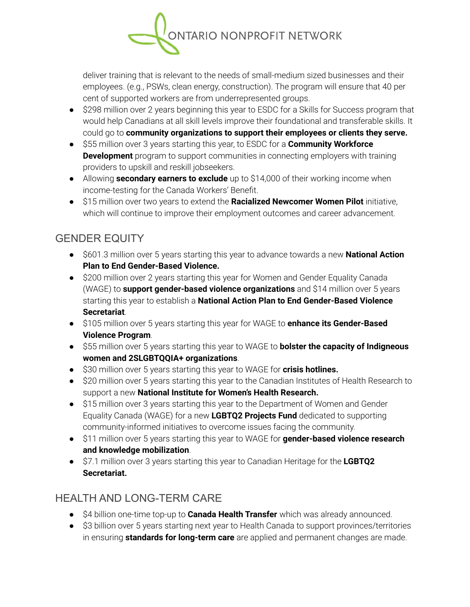

deliver training that is relevant to the needs of small-medium sized businesses and their employees. (e.g., PSWs, clean energy, construction). The program will ensure that 40 per cent of supported workers are from underrepresented groups.

- \$298 million over 2 years beginning this year to ESDC for a Skills for Success program that would help Canadians at all skill levels improve their foundational and transferable skills. It could go to **community organizations to support their employees or clients they serve.**
- \$55 million over 3 years starting this year, to ESDC for a **Community Workforce Development** program to support communities in connecting employers with training providers to upskill and reskill jobseekers.
- Allowing **secondary earners to exclude** up to \$14,000 of their working income when income-testing for the Canada Workers' Benefit.
- \$15 million over two years to extend the **Racialized Newcomer Women Pilot** initiative, which will continue to improve their employment outcomes and career advancement.

# GENDER EQUITY

- \$601.3 million over 5 years starting this year to advance towards a new **National Action Plan to End Gender-Based Violence.**
- \$200 million over 2 years starting this year for Women and Gender Equality Canada (WAGE) to **support gender-based violence organizations** and \$14 million over 5 years starting this year to establish a **National Action Plan to End Gender-Based Violence Secretariat**.
- \$105 million over 5 years starting this year for WAGE to **enhance its Gender-Based Violence Program**.
- \$55 million over 5 years starting this year to WAGE to **bolster the capacity of Indigneous women and 2SLGBTQQIA+ organizations**.
- \$30 million over 5 years starting this year to WAGE for **crisis hotlines.**
- \$20 million over 5 years starting this year to the Canadian Institutes of Health Research to support a new **National Institute for Women's Health Research.**
- \$15 million over 3 years starting this year to the Department of Women and Gender Equality Canada (WAGE) for a new **LGBTQ2 Projects Fund** dedicated to supporting community-informed initiatives to overcome issues facing the community.
- \$11 million over 5 years starting this year to WAGE for **gender-based violence research and knowledge mobilization**.
- \$7.1 million over 3 years starting this year to Canadian Heritage for the **LGBTQ2 Secretariat.**

# HEALTH AND LONG-TERM CARE

- \$4 billion one-time top-up to **Canada Health Transfer** which was already announced.
- \$3 billion over 5 years starting next year to Health Canada to support provinces/territories in ensuring **standards for long-term care** are applied and permanent changes are made.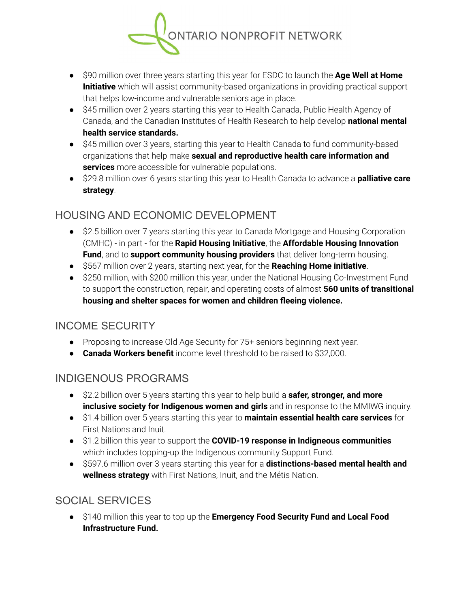

- \$90 million over three years starting this year for ESDC to launch the **Age Well at Home Initiative** which will assist community-based organizations in providing practical support that helps low-income and vulnerable seniors age in place.
- \$45 million over 2 years starting this year to Health Canada, Public Health Agency of Canada, and the Canadian Institutes of Health Research to help develop **national mental health service standards.**
- \$45 million over 3 years, starting this year to Health Canada to fund community-based organizations that help make **sexual and reproductive health care information and services** more accessible for vulnerable populations.
- \$29.8 million over 6 years starting this year to Health Canada to advance a **palliative care strategy**.

# HOUSING AND ECONOMIC DEVELOPMENT

- \$2.5 billion over 7 years starting this year to Canada Mortgage and Housing Corporation (CMHC) - in part - for the **Rapid Housing Initiative**, the **Affordable Housing Innovation Fund**, and to **support community housing providers** that deliver long-term housing.
- \$567 million over 2 years, starting next year, for the **Reaching Home initiative**.
- \$250 million, with \$200 million this year, under the National Housing Co-Investment Fund to support the construction, repair, and operating costs of almost **560 units of transitional housing and shelter spaces for women and children fleeing violence.**

# INCOME SECURITY

- Proposing to increase Old Age Security for 75+ seniors beginning next year.
- **Canada Workers benefit** income level threshold to be raised to \$32,000.

# INDIGENOUS PROGRAMS

- \$2.2 billion over 5 years starting this year to help build a **safer, stronger, and more inclusive society for Indigenous women and girls** and in response to the MMIWG inquiry.
- \$1.4 billion over 5 years starting this year to **maintain essential health care services** for First Nations and Inuit.
- \$1.2 billion this year to support the **COVID-19 response in Indigneous communities** which includes topping-up the Indigenous community Support Fund.
- \$597.6 million over 3 years starting this year for a **distinctions-based mental health and wellness strategy** with First Nations, Inuit, and the Métis Nation.

# SOCIAL SERVICES

● \$140 million this year to top up the **Emergency Food Security Fund and Local Food Infrastructure Fund.**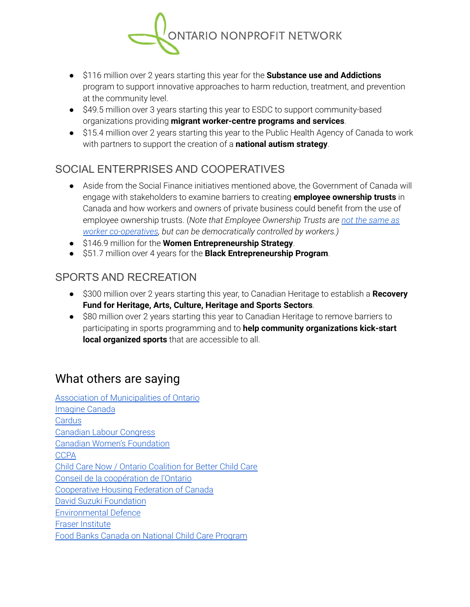

- \$116 million over 2 years starting this year for the **Substance use and Addictions** program to support innovative approaches to harm reduction, treatment, and prevention at the community level.
- \$49.5 million over 3 years starting this year to ESDC to support community-based organizations providing **migrant worker-centre programs and services**.
- \$15.4 million over 2 years starting this year to the Public Health Agency of Canada to work with partners to support the creation of a **national autism strategy**.

# SOCIAL ENTERPRISES AND COOPERATIVES

- Aside from the Social Finance initiatives mentioned above, the Government of Canada will engage with stakeholders to examine barriers to creating **employee ownership trusts** in Canada and how workers and owners of private business could benefit from the use of employee ownership trusts. (*Note that Employee Ownership Trusts are not the [same](https://project-equity.org/learn-about-employee-ownership-options/) as worker [co-operatives](https://project-equity.org/learn-about-employee-ownership-options/), but can be democratically controlled by workers.)*
- \$146.9 million for the **Women Entrepreneurship Strategy**.
- \$51.7 million over 4 years for the **Black Entrepreneurship Program**.

#### SPORTS AND RECREATION

- \$300 million over 2 years starting this year, to Canadian Heritage to establish a **Recovery Fund for Heritage, Arts, Culture, Heritage and Sports Sectors**.
- \$80 million over 2 years starting this year to Canadian Heritage to remove barriers to participating in sports programming and to **help community organizations kick-start local organized sports** that are accessible to all.

# What others are saying

Association of [Municipalities](https://www.amo.on.ca/advocacy/strategic-priorities/federal-budget-highlights-revised-covid-19-measures-and-red-tape-bill) of Ontario [Imagine](https://imaginecanada.ca/en/360/federal-budget-makes-strides-nonprofits-and-charities?utm_content=buffer1f267&utm_medium=social&utm_source=twitter.com&utm_campaign=buffer) Canada **[Cardus](https://www.cardus.ca/news/news-releases/statement-regarding-federal-budget-2021/)** Canadian Labour [Congress](https://canadianlabour.ca/budget-2021-canadas-unions-welcome-crucial-funding-for-childcare-skills-training-and-15-federal-minimum-wage/) Canadian Women's [Foundation](https://canadianwomen.org/blog/canadian-womens-foundation-welcomes-federal-budget-2021/) **[CCPA](https://monitormag.ca/articles/budget-2021-analysis-does-it-deliver)** Child Care Now / Ontario [Coalition](https://timeforchildcare.ca/2021/04/19/federal-budget-a-historic-turning-point-for-accessible-affordable-high-quality-early-learning-and-child-care-across-canada/) for Better Child Care Conseil de la [coopération](https://mailchi.mp/cco/budget_21-22) de l'Ontario [Cooperative](https://chfcanada.coop/housing-co-ops-welcome-bold-investment-in-childcare-alongside-measures-to-help-address-homelessness-and-provide-rental-assistance/) Housing Federation of Canada David Suzuki [Foundation](https://davidsuzuki.org/press/budget-2021-invests-in-addressing-climate-and-nature-emergencies-canadas-long-term-resiliency/) [Environmental](https://environmentaldefence.ca/2021/04/19/statement-tim-gray-executive-director-2021-federal-budget/) Defence Fraser [Institute](https://www.fraserinstitute.org/article/federal-stimulus-spending-will-likely-arrive-late-with-minimal-benefits) Food Banks Canada on National Child Care [Program](https://twitter.com/foodbankscanada/status/1384246465271242755)